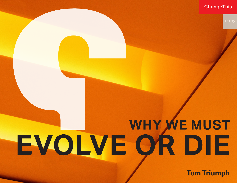#### **ChangeThis**

# **WHY WE MUST EVOLVE OR DIE**

**Tom Triumph**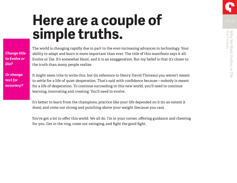## **Here are a couple of simple truths.**

**Change title to** *Evolve or Die?*

The world is changing rapidly due in part to the ever-increasing advances in technology. Your ability to adapt and learn is more important than ever. The title of this manifesto says it all: Evolve or Die. It's somewhat blunt, and it is an exaggeration. But my belief is that it's closer to the truth than many people realize.

*Or change text for accuracy?* It might seem trite to write this, but (in reference to Henry David Thoreau) you weren't meant to settle for a life of quiet desperation. That's said with confidence because—nobody is meant for a life of desperation. To continue succeeding in this new world, you'll need to continue learning, innovating and creating. You'll need to evolve.

It's better to learn from the champions, practice like your life depended on it (to an extent it does), and come out strong and punching above your weight (because you can).

You've got a lot to offer this world. We all do. I'm in your corner, offering guidance and cheering for you. Get in the ring, come out swinging, and fight the good fight.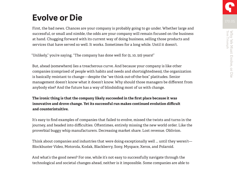## **Evolve or Die**

First, the bad news. Chances are your company is probably going to go under. Whether large and successful, or small and nimble, the odds are your company will remain focused on the business at hand. Chugging forward with its current way of doing business, selling those products and services that have served so well. It works. Sometimes for a long while. Until it doesn't.

"Unlikely," you're saying. "The company has done well for (5, 10, 50) years!"

But, ahead (somewhere) lies a treacherous curve. And because your company is like other companies (comprised of people with habits and needs and shortsightedness), the organization is basically resistant to change—despite the "we think out-of-the-box" platitudes. Senior management doesn't know what it doesn't know. Why should those managers be different from anybody else? And the future has a way of blindsiding most of us with change.

**The ironic thing is that the company likely succeeded in the first place because it was innovative and drove change. Yet its successful run makes continued evolution difficult and counterintuitive.** 

It's easy to find examples of companies that failed to evolve, missed the twists and turns in the journey, and headed into difficulties. Oftentimes, entirely missing the new world order. Like the proverbial buggy whip manufacturers. Decreasing market share. Lost revenue. Oblivion.

Think about companies and industries that were doing exceptionally well ... until they weren't— Blockbuster Video, Motorola, Kodak, Blackberry, Sony, Myspace, Xerox, and Polaroid.

And what's the good news? For one, while it's not easy to successfully navigate through the technological and societal changes ahead, neither is it impossible. Some companies are able to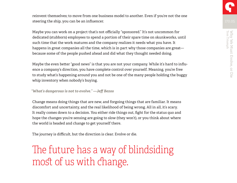reinvent themselves; to move from one business model to another. Even if you're not the one steering the ship, you can be an influencer.

Maybe you can work on a project that's not officially "sponsored." It's not uncommon for dedicated (stubborn) employees to spend a portion of their spare time on skunkworks, until such time that the work matures and the company realizes it needs what you have. It happens in great companies all the time, which is in part why those companies are great because some of the people pushed ahead and did what they thought needed doing.

Maybe the even better "good news" is that you are not your company. While it's hard to influence a company's direction, you have complete control over yourself. Meaning, you're free to study what's happening around you and not be one of the many people holding the buggy whip inventory when nobody's buying.

*"What's dangerous is not to evolve." —Jeff Bezos*

Change means doing things that are new, and forgoing things that are familiar. It means discomfort and uncertainty, and the real likelihood of being wrong. All in all, it's scary. It really comes down to a decision. You either ride things out, fight for the status quo and hope the changes you're sensing are going to slow (they won't), or you think about where the world is headed and change to get yourself there.

The journey is difficult, but the direction is clear. Evolve or die.

## The future has a way of blindsiding most of us with change.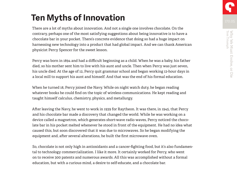## **Ten Myths of Innovation**

There are a lot of myths about innovation. And not a single one involves chocolate. On the contrary, perhaps one of the most satisfying suggestions about being innovative is to have a chocolate bar in your pocket. There's concrete evidence that doing so had a huge impact on harnessing new technology into a product that had global impact. And we can thank American physicist Percy Spencer for the sweet lesson.

Percy was born in 1894 and had a difficult beginning as a child. When he was a baby, his father died, so his mother sent him to live with his aunt and uncle. Then when Percy was just seven, his uncle died. At the age of 12, Percy quit grammar school and began working 12-hour days in a local mill to support his aunt and himself. And that was the end of his formal education.

When he turned 18, Percy joined the Navy. While on night watch duty, he began reading whatever books he could find on the topic of wireless communications. He kept reading and taught himself calculus, chemistry, physics, and metallurgy.

After leaving the Navy, he went to work in 1939 for Raytheon. It was there, in 1945, that Percy and his chocolate bar made a discovery that changed the world. While he was working on a device called a magnetron, which generates short-wave radio waves, Percy noticed the chocolate bar in his pocket melted whenever he stood in front of the equipment. He had no idea what caused this, but soon discovered that it was due to microwaves. So he began modifying the equipment and, after several alterations, he built the first microwave oven.

So, chocolate is not only high in antioxidants and a cancer-fighting food, but it's also fundamental to technology commercialization. I like it more. It certainly worked for Percy, who went on to receive 300 patents and numerous awards. All this was accomplished without a formal education, but with a curious mind, a desire to self-educate, and a chocolate bar.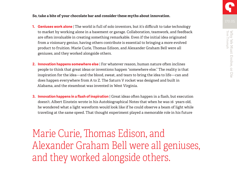#### **So, take a bite of your chocolate bar and consider these myths about innovation.**

- **1. Geniuses work alone** | The world is full of solo inventors, but it's difficult to take technology to market by working alone in a basement or garage. Collaboration, teamwork, and feedback are often invaluable in creating something remarkable. Even if the initial idea originated from a visionary genius, having others contribute is essential to bringing a more evolved product to fruition. Marie Curie, Thomas Edison, and Alexander Graham Bell were all geniuses, and they worked alongside others.
- **2. Innovation happens somewhere else** | For whatever reason, human nature often inclines people to think that great ideas or inventions happen "somewhere else." The reality is that inspiration for the idea—and the blood, sweat, and tears to bring the idea to life—can and does happen everywhere from A to Z. The Saturn V rocket was designed and built in Alabama, and the steamboat was invented in West Virginia.
- **3. Innovation happens in a flash of inspiration** | Great ideas often happen in a flash, but execution doesn't. Albert Einstein wrote in his Autobiographical Notes that when he was 16 years old, he wondered what a light waveform would look like if he could observe a beam of light while traveling at the same speed. That thought experiment played a memorable role in his future

Marie Curie, Thomas Edison, and Alexander Graham Bell were all geniuses, and they worked alongside others.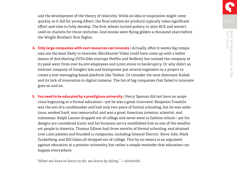and the development of the theory of relativity. While an idea or inspiration might come quickly, as it did for young Albert, the final solution (or product) typically takes significant effort and time to fully develop. The first wheels turned pottery in 3500 BCE and weren't used on chariots for three centuries. And monks were flying gliders a thousand years before the Wright Brothers' first flights.

- **4. Only large companies with vast resources can innovate** | Actually, often it seems big companies are the least likely to innovate. Blockbuster Video could have come up with a better means of distributing DVDs (like startups Netflix and Redbox), but instead the company at its peak went from over 84,000 employees and 9,000 stores to bankruptcy. Or why didn't an internet company of Google's size and brainpower put several engineers on a project to create a text messaging-based platform like Twitter. Or consider the once dominant Kodak and its lack of innovation in digital cameras. The list of big companies that failed to innovate goes on and on.
- **5. You need to be educated by a prestigious university** | Percy Spencer did not have an auspicious beginning or a formal education—yet he was a great innovator. Benjamin Franklin was the son of a candlemaker and had only two years of formal schooling, but he was ambitious, worked hard, was resourceful, and was a great American inventor, scientist, and statesman. Ralph Lauren dropped out of college and never went to fashion school—yet his designs are considered iconic and his business savvy established him as one of the wealthiest people in America. Thomas Edison had three months of formal schooling, and attained over 1,500 patents and founded 14 companies, including General Electric. Steve Jobs, Mark Zuckerberg, and Bill Gates all dropped out of college. This by no means is an argument against education at a premier university, but rather a simple reminder that education can happen everywhere.

*"What we have to learn to do, we learn by doing." —Aristotle*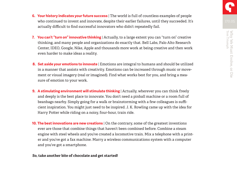- **6. Your history indicates your future success** | The world is full of countless examples of people who continued to invent and innovate, despite their earlier failures, until they succeeded. It's actually difficult to find successful innovators who didn't repeatedly fail.
- **7. You can't "turn on" innovative thinking** | Actually, to a large extent you can "turn on" creative thinking, and many people and organizations do exactly that. Bell Labs, Palo Alto Research Center, IDEO, Google, Nike, Apple and thousands more work at being creative and then work even harder to make ideas a reality.
- **8. Set aside your emotions to innovate** | Emotions are integral to humans and should be utilized in a manner that assists with creativity. Emotions can be increased through music or movement or visual imagery (real or imagined). Find what works best for you, and bring a measure of emotion to your work.
- **9. A stimulating environment will stimulate thinking** | Actually, wherever you can think freely and deeply is the best place to innovate. You don't need a pinball machine or a room full of beanbags nearby. Simply going for a walk or brainstorming with a few colleagues is sufficient inspiration. You might just need to be inspired. J. K. Rowling came up with the idea for Harry Potter while riding on a noisy, four-hour, train ride.
- **10. The best innovations are new creations** | On the contrary, some of the greatest inventions ever are those that combine things that haven't been combined before. Combine a steam engine with steel wheels and you've created a locomotive train. Mix a telephone with a printer and you've got a fax machine. Marry a wireless communications system with a computer and you've got a smartphone.

#### **So, take another bite of chocolate and get started!**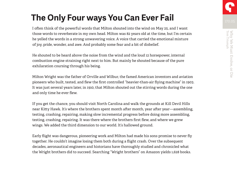## **The Only Four ways You Can Ever Fail**

I often think of the powerful words that Milton shouted into the wind on May 25, and I want those words to reverberate in my own head. Milton was 82 years old at the time, but I'm certain he yelled the words in a strong unwavering voice. A voice that carried the emotional mixture of joy, pride, wonder, and awe. And probably some fear and a bit of disbelief.

He shouted to be heard above the noise from the wind and the loud 12 horsepower, internal combustion engine straining right next to him. But mainly he shouted because of the pure exhilaration coursing through his being.

Milton Wright was the father of Orville and Wilbur, the famed American inventors and aviation pioneers who built, tested, and flew the first controlled "heavier-than-air flying machine" in 1903. It was just several years later, in 1910, that Milton shouted out the stirring words during the one and only time he ever flew.

If you get the chance, you should visit North Carolina and walk the grounds at Kill Devil Hills near Kitty Hawk. It's where the brothers spent month after month, year after year—assembling, testing, crashing, repairing, making slow incremental progress before doing more assembling, testing, crashing, repairing. It was there where the brothers first flew, and where we grew wings. We added the third dimension to our world. It's hallowed ground.

Early flight was dangerous, pioneering work and Milton had made his sons promise to never fly together. He couldn't imagine losing them both during a flight crash. Over the subsequent decades, aeronautical engineers and historians have thoroughly studied and chronicled what the Wright brothers did to succeed. Searching "Wright brothers" on Amazon yields 1,628 books.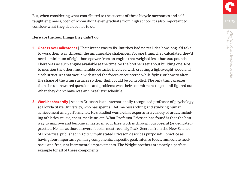But, when considering what contributed to the success of these bicycle mechanics and selftaught engineers, both of whom didn't even graduate from high school, it's also important to consider what they decided not to do.

#### **Here are the four things they didn't do.**

- **1. Obsess over milestones** | Their intent was to fly. But they had no real idea how long it'd take to work their way through the innumerable challenges. For one thing, they calculated they'd need a minimum of eight horsepower from an engine that weighed less than 200 pounds. There was no such engine available at the time. So the brothers set about building one. Not to mention the other innumerable obstacles involved with creating a lightweight wood and cloth structure that would withstand the forces encountered while flying; or how to alter the shape of the wing surfaces so their flight could be controlled. The only thing greater than the unanswered questions and problems was their commitment to get it all figured out. What they didn't have was an unrealistic schedule.
- **2. Work haphazardly** | Anders Ericsson is an internationally recognized professor of psychology at Florida State University, who has spent a lifetime researching and studying human achievement and performance. He's studied world-class experts in a variety of areas, including athletics, music, chess, medicine, etc. What Professor Ericsson has found is that the best way to improve and become a master in your life's work is through purposeful (or dedicated) practice. He has authored several books, most recently Peak: Secrets from the New Science of Expertise, published in 2016. Simply stated Ericsson describes purposeful practice as having four important primary components: a specific goal, intense focus, immediate feedback, and frequent incremental improvements. The Wright brothers are nearly a perfect example for all of these components.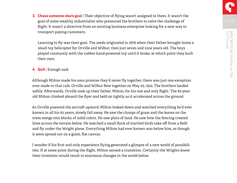**3. Chase someone else's goal** | Their objective of flying wasn't assigned to them. It wasn't the goal of some wealthy industrialist who pressured the brothers to solve the challenge of flight. It wasn't a directive from an existing business enterprise looking for a new way to transport paying customers.

Learning to fly was their goal. The seeds originated in 1878 when their father brought home a small toy helicopter for Orville and Wilbur, then just seven and nine years old. The boys played constantly with the rubber band-powered toy until it broke, at which point they built their own.

#### **4. Quit** | Enough said.

Although Milton made his sons promise they'd never fly together, there was just one exception ever made to that rule. Orville and Wilbur flew together on May 25, 1910. The brothers landed safely. Afterwards, Orville took up their father, Milton, for his one and only flight. The 82-yearold Milton climbed aboard the flyer and held on tightly as it accelerated across the ground.

As Orville powered the aircraft upward, Milton looked down and watched everything he'd ever known in all his 82 years, slowly fall away. He saw the clumps of grass and the leaves on the trees merge into blocks of solid colors. He saw plots of land. He saw how the fencing created lines across the terrain below. He watched a small flock of startled birds take off from a field and fly under the Wright plane. Everything Milton had ever known was below him, as though it were spread out on a giant, flat canvas.

I wonder if his first and only experience flying generated a glimpse of a new world of possibilities. If at some point during the flight, Milton sensed a transition. Certainly the Wrights knew their invention would result in enormous changes in the world below.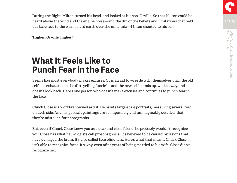During the flight, Milton turned his head, and looked at his son, Orville. So that Milton could be heard above the wind and the engine noise—and the din of the beliefs and limitations that held our bare feet to the warm, hard earth over the millennia—Milton shouted to his son.

**"Higher, Orville, higher!"** 

### **What It Feels Like to Punch Fear in the Face**

Seems like most everybody makes excuses. Or is afraid to wrestle with themselves until the old self lies exhausted in the dirt, yelling "uncle" ... and the new self stands up, walks away, and doesn't look back. Here's one person who doesn't make excuses and continues to punch fear in the face.

Chuck Close is a world-renowned artist. He paints large-scale portraits, measuring several feet on each side. And his portrait paintings are so impossibly and unimaginably detailed, that they're mistaken for photographs.

But, even if Chuck Close knew you as a dear and close friend, he probably wouldn't recognize you. Close has what neurologists call prosopagnosia. It's believed to be caused by lesions that have damaged the brain. It's also called face blindness. Here's what that means. Chuck Close isn't able to recognize faces. It's why, even after years of being married to his wife, Close didn't recognize her.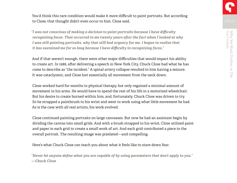You'd think this rare condition would make it more difficult to paint portraits. But according to Close, that thought didn't even occur to him. Close said,

*"I was not conscious of making a decision to paint portraits because I have difficulty recognizing faces. That occurred to me twenty years after the fact when I looked at why I was still painting portraits, why that still had urgency for me. I began to realize that it has sustained me for so long because I have difficulty in recognizing faces."* 

And if that weren't enough, there were other major difficulties that would impact his ability to create art. In 1988, after delivering a speech in New York City, Chuck Close had what he has come to describe as "the incident." A spinal artery collapse resulted in him having a seizure. It was cataclysmic, and Close lost essentially all movement from the neck down.

Close worked hard for months in physical therapy, but only regained a minimal amount of movement in his arms. He would have to spend the rest of his life in a motorized wheelchair. But his desire to create burned within him, and, fortunately, Chuck Close was driven to try. So he strapped a paintbrush to his wrist and went to work using what little movement he had. As is the case with all real artists, his work evolved.

Close continued painting portraits on large canvasses. But now he had an assistant begin by dividing the canvas into small grids. And with a brush strapped to his wrist, Close utilized paint and paper in each grid to create a small work of art. And each grid contributed a piece to the overall portrait. The resulting image was pixelated—and compelling.

Here's what Chuck Close can teach you about what it feels like to stare down fear.

*"Never let anyone define what you are capable of by using parameters that don't apply to you." —Chuck Close*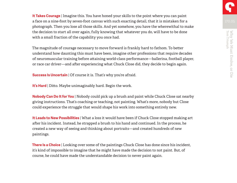**It Takes Courage** | Imagine this. You have honed your skills to the point where you can paint a face on a nine-foot by seven-foot canvas with such exacting detail, that it is mistaken for a photograph. Then you lose all those skills. And yet somehow, you have the wherewithal to make the decision to start all over again, fully knowing that whatever you do, will have to be done with a small fraction of the capability you once had.

The magnitude of courage necessary to move forward is frankly hard to fathom. To better understand how daunting this must have been, imagine other professions that require decades of neuromuscular training before attaining world-class performance—ballerina, football player, or race car driver—and after experiencing what Chuck Close did, they decide to begin again.

**Success Is Uncertain** | Of course it is. That's why you're afraid.

**It's Hard** | Ditto. Maybe unimaginably hard. Begin the work.

**Nobody Can Do It for You** | Nobody could pick up a brush and paint while Chuck Close sat nearby giving instructions. That's coaching or teaching, not painting. What's more, nobody but Close could experience the struggle that would shape his work into something entirely new.

**It Leads to New Possibilities** | What a loss it would have been if Chuck Close stopped making art after his incident. Instead, he strapped a brush to his hand and continued. In the process, he created a new way of seeing and thinking about portraits—and created hundreds of new paintings.

**There Is a Choice** | Looking over some of the paintings Chuck Close has done since his incident, it's kind of impossible to imagine that he might have made the decision to not paint. But, of course, he could have made the understandable decision to never paint again.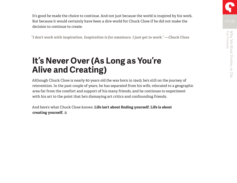It's good he made the choice to continue. And not just because the world is inspired by his work. But because it would certainly have been a dire world for Chuck Close if he did not make the decision to continue to create.

*"I don't work with inspiration. Inspiration is for amateurs. I just get to work." —Chuck Close* 

## **It's Never Over (As Long as You're Alive and Creating)**

Although Chuck Close is nearly 80 years old (he was born in 1940), he's still on the journey of reinvention. In the past couple of years, he has separated from his wife, relocated to a geographic area far from the comfort and support of his many friends, and he continues to experiment with his art to the point that he's dismaying art critics and confounding friends.

And here's what Chuck Close knows. **Life isn't about finding yourself. Life is about creating yourself.**